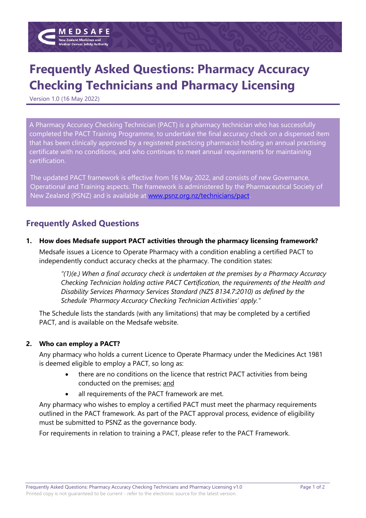

# **Frequently Asked Questions: Pharmacy Accuracy Checking Technicians and Pharmacy Licensing**

Version 1.0 (16 May 2022)

A Pharmacy Accuracy Checking Technician (PACT) is a pharmacy technician who has successfully completed the PACT Training Programme, to undertake the final accuracy check on a dispensed item that has been clinically approved by a registered practicing pharmacist holding an annual practising certificate with no conditions, and who continues to meet annual requirements for maintaining certification.

The updated PACT framework is effective from 16 May 2022, and consists of new Governance, Operational and Training aspects. The framework is administered by the Pharmaceutical Society of New Zealand (PSNZ) and is available at [www.psnz.org.nz/technicians/pact.](http://www.psnz.org.nz/technicians/pact)

## **Frequently Asked Questions**

**1. How does Medsafe support PACT activities through the pharmacy licensing framework?** Medsafe issues a Licence to Operate Pharmacy with a condition enabling a certified PACT to independently conduct accuracy checks at the pharmacy. The condition states:

> *"(1)(e.) When a final accuracy check is undertaken at the premises by a Pharmacy Accuracy Checking Technician holding active PACT Certification, the requirements of the Health and Disability Services Pharmacy Services Standard (NZS 8134.7:2010) as defined by the Schedule 'Pharmacy Accuracy Checking Technician Activities' apply."*

The Schedule lists the standards (with any limitations) that may be completed by a certified PACT, and is available on the Medsafe website.

#### **2. Who can employ a PACT?**

Any pharmacy who holds a current Licence to Operate Pharmacy under the Medicines Act 1981 is deemed eligible to employ a PACT, so long as:

- there are no conditions on the licence that restrict PACT activities from being conducted on the premises; and
- all requirements of the PACT framework are met.

Any pharmacy who wishes to employ a certified PACT must meet the pharmacy requirements outlined in the PACT framework. As part of the PACT approval process, evidence of eligibility must be submitted to PSNZ as the governance body.

For requirements in relation to training a PACT, please refer to the PACT Framework.